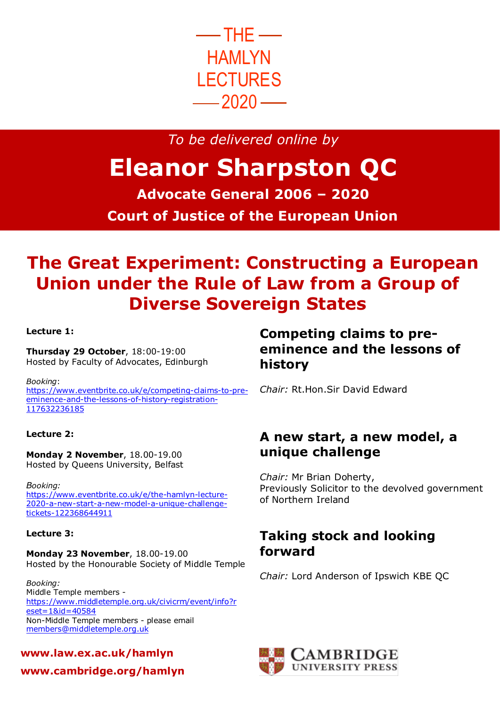

*To be delivered online by*

# **Eleanor Sharpston QC**

**Advocate General 2006 – 2020 Court of Justice of the European Union**

## **The Great Experiment: Constructing a European Union under the Rule of Law from a Group of Diverse Sovereign States**

### **Lecture 1:**

**Thursday 29 October**, 18:00-19:00 Hosted by Faculty of Advocates, Edinburgh

*Booking*: [https://www.eventbrite.co.uk/e/competing-claims-to-pre](https://www.eventbrite.co.uk/e/competing-claims-to-pre-eminence-and-the-lessons-of-history-registration-117632236185)[eminence-and-the-lessons-of-history-registration-](https://www.eventbrite.co.uk/e/competing-claims-to-pre-eminence-and-the-lessons-of-history-registration-117632236185)[117632236185](https://www.eventbrite.co.uk/e/competing-claims-to-pre-eminence-and-the-lessons-of-history-registration-117632236185)

### **Lecture 2:**

**Monday 2 November**, 18.00-19.00 Hosted by Queens University, Belfast

*Booking:*  [https://www.eventbrite.co.uk/e/the-hamlyn-lecture-](https://www.eventbrite.co.uk/e/the-hamlyn-lecture-2020-a-new-start-a-new-model-a-unique-challenge-tickets-122368644911)[2020-a-new-start-a-new-model-a-unique-challenge](https://www.eventbrite.co.uk/e/the-hamlyn-lecture-2020-a-new-start-a-new-model-a-unique-challenge-tickets-122368644911)[tickets-122368644911](https://www.eventbrite.co.uk/e/the-hamlyn-lecture-2020-a-new-start-a-new-model-a-unique-challenge-tickets-122368644911)

#### **Lecture 3:**

**Monday 23 November**, 18.00-19.00 Hosted by the Honourable Society of Middle Temple

*Booking:* Middle Temple members [https://www.middletemple.org.uk/civicrm/event/info?r](https://www.middletemple.org.uk/civicrm/event/info?reset=1&id=40584) [eset=1&id=40584](https://www.middletemple.org.uk/civicrm/event/info?reset=1&id=40584) Non-Middle Temple members - please email [members@middletemple.org.uk](mailto:members@middletemple.org.uk)

**www.law.ex.ac.uk/hamlyn**

**www.cambridge.org/hamlyn**

### **Competing claims to preeminence and the lessons of history**

*Chair:* Rt.Hon.Sir David Edward

### **A new start, a new model, a unique challenge**

*Chair:* Mr Brian Doherty, Previously Solicitor to the devolved government of Northern Ireland

### **Taking stock and looking forward**

*Chair:* Lord Anderson of Ipswich KBE QC

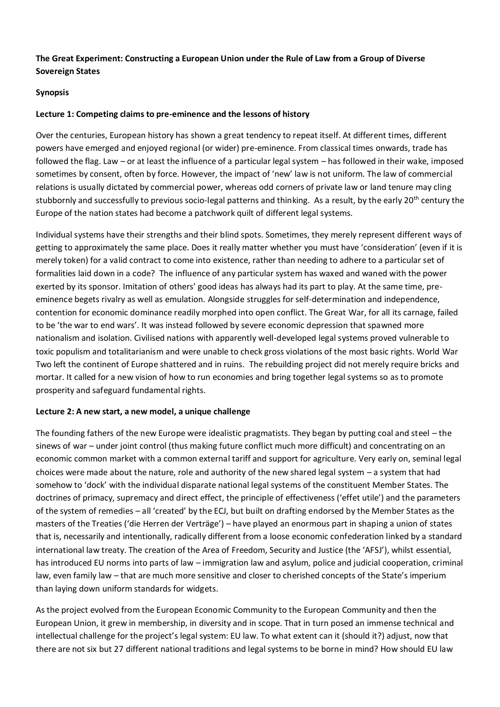### **The Great Experiment: Constructing a European Union under the Rule of Law from a Group of Diverse Sovereign States**

### **Synopsis**

### **Lecture 1: Competing claims to pre-eminence and the lessons of history**

Over the centuries, European history has shown a great tendency to repeat itself. At different times, different powers have emerged and enjoyed regional (or wider) pre-eminence. From classical times onwards, trade has followed the flag. Law – or at least the influence of a particular legal system – has followed in their wake, imposed sometimes by consent, often by force. However, the impact of 'new' law is not uniform. The law of commercial relations is usually dictated by commercial power, whereas odd corners of private law or land tenure may cling stubbornly and successfully to previous socio-legal patterns and thinking. As a result, by the early 20<sup>th</sup> century the Europe of the nation states had become a patchwork quilt of different legal systems.

Individual systems have their strengths and their blind spots. Sometimes, they merely represent different ways of getting to approximately the same place. Does it really matter whether you must have 'consideration' (even if it is merely token) for a valid contract to come into existence, rather than needing to adhere to a particular set of formalities laid down in a code? The influence of any particular system has waxed and waned with the power exerted by its sponsor. Imitation of others' good ideas has always had its part to play. At the same time, preeminence begets rivalry as well as emulation. Alongside struggles for self-determination and independence, contention for economic dominance readily morphed into open conflict. The Great War, for all its carnage, failed to be 'the war to end wars'. It was instead followed by severe economic depression that spawned more nationalism and isolation. Civilised nations with apparently well-developed legal systems proved vulnerable to toxic populism and totalitarianism and were unable to check gross violations of the most basic rights. World War Two left the continent of Europe shattered and in ruins. The rebuilding project did not merely require bricks and mortar. It called for a new vision of how to run economies and bring together legal systems so as to promote prosperity and safeguard fundamental rights.

#### **Lecture 2: A new start, a new model, a unique challenge**

The founding fathers of the new Europe were idealistic pragmatists. They began by putting coal and steel – the sinews of war – under joint control (thus making future conflict much more difficult) and concentrating on an economic common market with a common external tariff and support for agriculture. Very early on, seminal legal choices were made about the nature, role and authority of the new shared legal system – a system that had somehow to 'dock' with the individual disparate national legal systems of the constituent Member States. The doctrines of primacy, supremacy and direct effect, the principle of effectiveness ('effet utile') and the parameters of the system of remedies – all 'created' by the ECJ, but built on drafting endorsed by the Member States as the masters of the Treaties ('die Herren der Verträge') – have played an enormous part in shaping a union of states that is, necessarily and intentionally, radically different from a loose economic confederation linked by a standard international law treaty. The creation of the Area of Freedom, Security and Justice (the 'AFSJ'), whilst essential, has introduced EU norms into parts of law – immigration law and asylum, police and judicial cooperation, criminal law, even family law – that are much more sensitive and closer to cherished concepts of the State's imperium than laying down uniform standards for widgets.

As the project evolved from the European Economic Community to the European Community and then the European Union, it grew in membership, in diversity and in scope. That in turn posed an immense technical and intellectual challenge for the project's legal system: EU law. To what extent can it (should it?) adjust, now that there are not six but 27 different national traditions and legal systems to be borne in mind? How should EU law